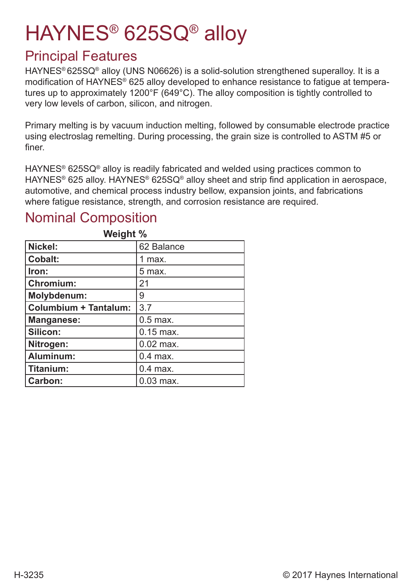# HAYNES® 625SQ® alloy

### Principal Features

HAYNES<sup>®</sup> 625SQ<sup>®</sup> alloy (UNS N06626) is a solid-solution strengthened superalloy. It is a modification of HAYNES® 625 alloy developed to enhance resistance to fatigue at temperatures up to approximately 1200°F (649°C). The alloy composition is tightly controlled to very low levels of carbon, silicon, and nitrogen.

Primary melting is by vacuum induction melting, followed by consumable electrode practice using electroslag remelting. During processing, the grain size is controlled to ASTM #5 or finer.

HAYNES® 625SQ® alloy is readily fabricated and welded using practices common to HAYNES<sup>®</sup> 625 alloy. HAYNES<sup>®</sup> 625SQ<sup>®</sup> alloy sheet and strip find application in aerospace, automotive, and chemical process industry bellow, expansion joints, and fabrications where fatigue resistance, strength, and corrosion resistance are required.

#### **Weight % Nickel:** 62 Balance **Cobalt:** 1 max. **Iron:** 5 max. **Chromium:** 21 **Molybdenum:** 9 **Columbium + Tantalum: 3.7 Manganese:** 0.5 max. **Silicon:**  $\vert$  0.15 max. **Nitrogen:**  $|0.02 \text{ max.}$ **Aluminum:**  $\begin{bmatrix} 0.4 \text{ max} \end{bmatrix}$ **Titanium:** 0.4 max. **Carbon:**  $\vert$  0.03 max.

### Nominal Composition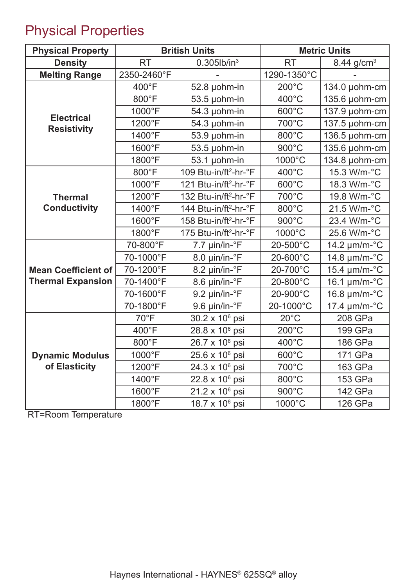## Physical Properties

| <b>Physical Property</b>                | <b>British Units</b> |                                   | <b>Metric Units</b> |                               |
|-----------------------------------------|----------------------|-----------------------------------|---------------------|-------------------------------|
| <b>Density</b>                          | <b>RT</b>            | $0.305$ lb/in <sup>3</sup>        | <b>RT</b>           | 8.44 g/cm <sup>3</sup>        |
| <b>Melting Range</b>                    | 2350-2460°F          |                                   | 1290-1350°C         |                               |
|                                         | 400°F                | 52.8 µohm-in                      | $200^{\circ}$ C     | 134.0 µohm-cm                 |
|                                         | 800°F                | 53.5 µohm-in                      | 400°C               | 135.6 µohm-cm                 |
|                                         | 1000°F               | 54.3 µohm-in                      | 600°C               | 137.9 µohm-cm                 |
| <b>Electrical</b><br><b>Resistivity</b> | 1200°F               | 54.3 µohm-in                      | 700°C               | 137.5 µohm-cm                 |
|                                         | 1400°F               | 53.9 µohm-in                      | 800°C               | 136.5 µohm-cm                 |
|                                         | 1600°F               | 53.5 µohm-in                      | 900°C               | 135.6 µohm-cm                 |
|                                         | 1800°F               | 53.1 µohm-in                      | 1000°C              | 134.8 µohm-cm                 |
|                                         | 800°F                | 109 Btu-in/ft <sup>2</sup> -hr-°F | 400°C               | 15.3 W/m-°C                   |
|                                         | 1000°F               | 121 Btu-in/ft <sup>2</sup> -hr-°F | 600°C               | 18.3 W/m-°C                   |
| <b>Thermal</b>                          | 1200°F               | 132 Btu-in/ft <sup>2</sup> -hr-°F | 700°C               | 19.8 W/m-°C                   |
| <b>Conductivity</b>                     | 1400°F               | 144 Btu-in/ft <sup>2</sup> -hr-°F | 800°C               | 21.5 W/m-°C                   |
|                                         | 1600°F               | 158 Btu-in/ft <sup>2</sup> -hr-°F | 900°C               | 23.4 W/m-°C                   |
|                                         | 1800°F               | 175 Btu-in/ft <sup>2</sup> -hr-°F | 1000°C              | 25.6 W/m-°C                   |
|                                         | 70-800°F             | 7.7 µin/in-°F                     | 20-500°C            | 14.2 $\mu$ m/m- $\mathrm{°C}$ |
|                                         | 70-1000°F            | 8.0 µin/in-°F                     | 20-600°C            | 14.8 $\mu$ m/m- $\degree$ C   |
| <b>Mean Coefficient of</b>              | 70-1200°F            | 8.2 µin/in-°F                     | 20-700°C            | 15.4 µm/m-°C                  |
| <b>Thermal Expansion</b>                | 70-1400°F            | 8.6 µin/in-°F                     | 20-800°C            | 16.1 $\mu$ m/m- $\mathrm{°C}$ |
|                                         | 70-1600°F            | 9.2 µin/in-°F                     | 20-900°C            | 16.8 µm/m-°C                  |
|                                         | 70-1800°F            | 9.6 µin/in-°F                     | 20-1000°C           | 17.4 $\mu$ m/m- $\mathrm{°C}$ |
|                                         | $70^{\circ}$ F       | 30.2 x 10 <sup>6</sup> psi        | $20^{\circ}$ C      | 208 GPa                       |
|                                         | 400°F                | 28.8 x 10 <sup>6</sup> psi        | $200^{\circ}$ C     | 199 GPa                       |
|                                         | 800°F                | 26.7 x 10 <sup>6</sup> psi        | 400°C               | 186 GPa                       |
| <b>Dynamic Modulus</b>                  | 1000°F               | 25.6 x 10 <sup>6</sup> psi        | $600^{\circ}$ C     | 171 GPa                       |
| of Elasticity                           | 1200°F               | 24.3 x 10 <sup>6</sup> psi        | 700°C               | 163 GPa                       |
|                                         | 1400°F               | $22.8 \times 10^6$ psi            | 800°C               | 153 GPa                       |
|                                         | 1600°F               | $21.2 \times 10^6$ psi            | 900°C               | 142 GPa                       |
|                                         | 1800°F               | 18.7 x 10 <sup>6</sup> psi        | 1000°C              | 126 GPa                       |

RT=Room Temperature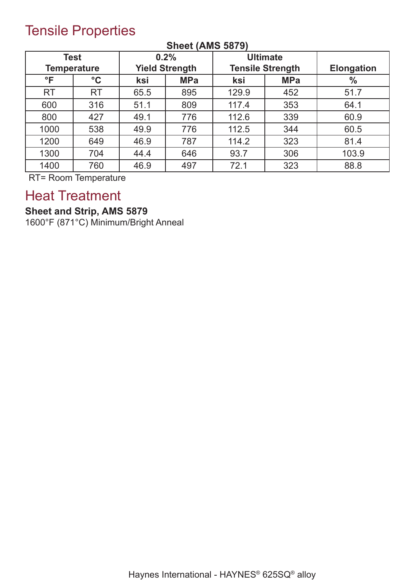### Tensile Properties

|              | <b>Test</b>        |                       | 0.2%       |                         | <b>Ultimate</b> |                   |
|--------------|--------------------|-----------------------|------------|-------------------------|-----------------|-------------------|
|              | <b>Temperature</b> | <b>Yield Strength</b> |            | <b>Tensile Strength</b> |                 | <b>Elongation</b> |
| $\mathsf{P}$ | $\rm ^{\circ}C$    | ksi                   | <b>MPa</b> | ksi                     | <b>MPa</b>      | $\frac{0}{0}$     |
| <b>RT</b>    | <b>RT</b>          | 65.5                  | 895        | 129.9                   | 452             | 51.7              |
| 600          | 316                | 51.1                  | 809        | 117.4                   | 353             | 64.1              |
| 800          | 427                | 49.1                  | 776        | 112.6                   | 339             | 60.9              |
| 1000         | 538                | 49.9                  | 776        | 112.5                   | 344             | 60.5              |
| 1200         | 649                | 46.9                  | 787        | 114.2                   | 323             | 81.4              |
| 1300         | 704                | 44.4                  | 646        | 93.7                    | 306             | 103.9             |
| 1400         | 760                | 46.9                  | 497        | 72.1                    | 323             | 88.8              |

#### **Sheet (AMS 5879)**

RT= Room Temperature

### Heat Treatment

### **Sheet and Strip, AMS 5879**

1600°F (871°C) Minimum/Bright Anneal